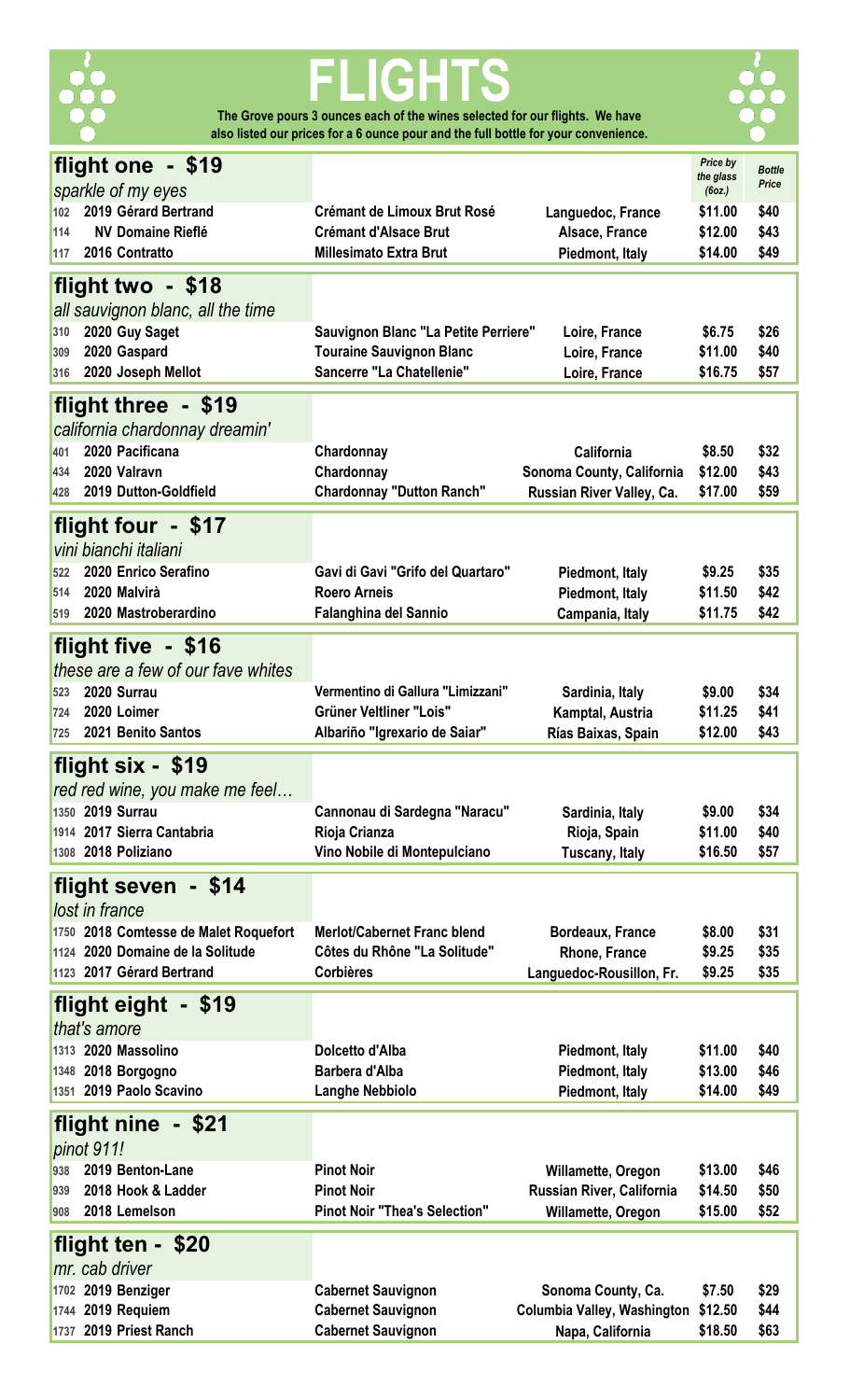

# **FLIGHTS The Grove pours 3 ounces each of the wines selected for our flights. We have**

**also listed our prices for a 6 ounce pour and the full bottle for your convenience.** 



| flight one - \$19                                  |                                                              |                             | Price by            | <b>Bottle</b> |
|----------------------------------------------------|--------------------------------------------------------------|-----------------------------|---------------------|---------------|
| sparkle of my eyes                                 |                                                              |                             | the glass<br>(6oz.) | Price         |
| 2019 Gérard Bertrand<br>102                        | <b>Crémant de Limoux Brut Rosé</b>                           |                             | \$11.00             | \$40          |
| <b>NV Domaine Rieflé</b><br>114                    | <b>Crémant d'Alsace Brut</b>                                 | Languedoc, France           |                     | \$43          |
|                                                    |                                                              | Alsace, France              | \$12.00             |               |
| 2016 Contratto<br>117                              | <b>Millesimato Extra Brut</b>                                | Piedmont, Italy             | \$14.00             | \$49          |
| flight two - \$18                                  |                                                              |                             |                     |               |
| all sauvignon blanc, all the time                  |                                                              |                             |                     |               |
| 2020 Guy Saget                                     |                                                              |                             |                     | \$26          |
| 310                                                | Sauvignon Blanc "La Petite Perriere"                         | Loire, France               | \$6.75              |               |
| 2020 Gaspard<br>309                                | <b>Touraine Sauvignon Blanc</b><br>Sancerre "La Chatellenie" | Loire, France               | \$11.00             | \$40          |
| 2020 Joseph Mellot<br>316                          |                                                              | Loire, France               | \$16.75             | \$57          |
| flight three - \$19                                |                                                              |                             |                     |               |
| california chardonnay dreamin'                     |                                                              |                             |                     |               |
| 2020 Pacificana<br>401                             | Chardonnay                                                   | California                  | \$8.50              | \$32          |
| 2020 Valravn<br>434                                | Chardonnay                                                   | Sonoma County, California   | \$12.00             | \$43          |
|                                                    |                                                              |                             | \$17.00             |               |
| 2019 Dutton-Goldfield<br>428                       | <b>Chardonnay "Dutton Ranch"</b>                             | Russian River Valley, Ca.   |                     | \$59          |
| flight four - \$17                                 |                                                              |                             |                     |               |
| vini bianchi italiani                              |                                                              |                             |                     |               |
| 2020 Enrico Serafino                               | Gavi di Gavi "Grifo del Quartaro"                            |                             |                     |               |
| 522                                                |                                                              | Piedmont, Italy             | \$9.25              | \$35          |
| 2020 Malvirà<br>514                                | <b>Roero Arneis</b>                                          | Piedmont, Italy             | \$11.50             | \$42          |
| 2020 Mastroberardino<br>519                        | Falanghina del Sannio                                        | Campania, Italy             | \$11.75             | \$42          |
| flight five - \$16                                 |                                                              |                             |                     |               |
| these are a few of our fave whites                 |                                                              |                             |                     |               |
|                                                    |                                                              |                             |                     |               |
| 2020 Surrau<br>523                                 | Vermentino di Gallura "Limizzani"                            | Sardinia, Italy             | \$9.00              | \$34          |
| 2020 Loimer<br>724                                 | Grüner Veltliner "Lois"                                      | Kamptal, Austria            | \$11.25             | \$41          |
| 2021 Benito Santos<br>725                          | Albariño "Igrexario de Saiar"                                | Rías Baixas, Spain          | \$12.00             | \$43          |
| flight six - \$19                                  |                                                              |                             |                     |               |
|                                                    |                                                              |                             |                     |               |
| red red wine, you make me feel<br>1350 2019 Surrau |                                                              |                             |                     |               |
|                                                    | Cannonau di Sardegna "Naracu"                                | Sardinia, Italy             | \$9.00              | \$34          |
| 1914 2017 Sierra Cantabria                         | Rioja Crianza                                                | Rioja, Spain                | \$11.00             | \$40          |
| 1308 2018 Poliziano                                | Vino Nobile di Montepulciano                                 | <b>Tuscany, Italy</b>       | \$16.50             | \$57          |
| flight seven - \$14                                |                                                              |                             |                     |               |
| lost in france                                     |                                                              |                             |                     |               |
|                                                    |                                                              |                             |                     |               |
| 1750 2018 Comtesse de Malet Roquefort              | <b>Merlot/Cabernet Franc blend</b>                           | Bordeaux, France            | \$8.00              | \$31          |
| 1124 2020 Domaine de la Solitude                   | Côtes du Rhône "La Solitude"                                 | Rhone, France               | \$9.25              | \$35          |
| 1123 2017 Gérard Bertrand                          | <b>Corbières</b>                                             | Languedoc-Rousillon, Fr.    | \$9.25              | \$35          |
| flight eight - \$19                                |                                                              |                             |                     |               |
| that's amore                                       |                                                              |                             |                     |               |
| 1313 2020 Massolino                                | Dolcetto d'Alba                                              |                             | \$11.00             | \$40          |
|                                                    |                                                              | Piedmont, Italy             |                     |               |
| 1348 2018 Borgogno                                 | Barbera d'Alba                                               | Piedmont, Italy             | \$13.00             | \$46          |
| 1351 2019 Paolo Scavino                            | <b>Langhe Nebbiolo</b>                                       | Piedmont, Italy             | \$14.00             | \$49          |
| flight nine - \$21                                 |                                                              |                             |                     |               |
| pinot 911!                                         |                                                              |                             |                     |               |
| 2019 Benton-Lane                                   | <b>Pinot Noir</b>                                            |                             |                     |               |
| 938                                                |                                                              | Willamette, Oregon          | \$13.00             | \$46          |
| 2018 Hook & Ladder<br>939                          | <b>Pinot Noir</b>                                            | Russian River, California   | \$14.50             | \$50          |
| 2018 Lemelson<br>908                               | <b>Pinot Noir "Thea's Selection"</b>                         | Willamette, Oregon          | \$15.00             | \$52          |
| flight ten - \$20                                  |                                                              |                             |                     |               |
| mr. cab driver                                     |                                                              |                             |                     |               |
|                                                    |                                                              |                             |                     |               |
| 1702 2019 Benziger                                 | <b>Cabernet Sauvignon</b>                                    | Sonoma County, Ca.          | \$7.50              | \$29          |
| 1744 2019 Requiem                                  | <b>Cabernet Sauvignon</b>                                    | Columbia Valley, Washington | \$12.50             | \$44          |
| 1737 2019 Priest Ranch                             | <b>Cabernet Sauvignon</b>                                    | Napa, California            | \$18.50             | \$63          |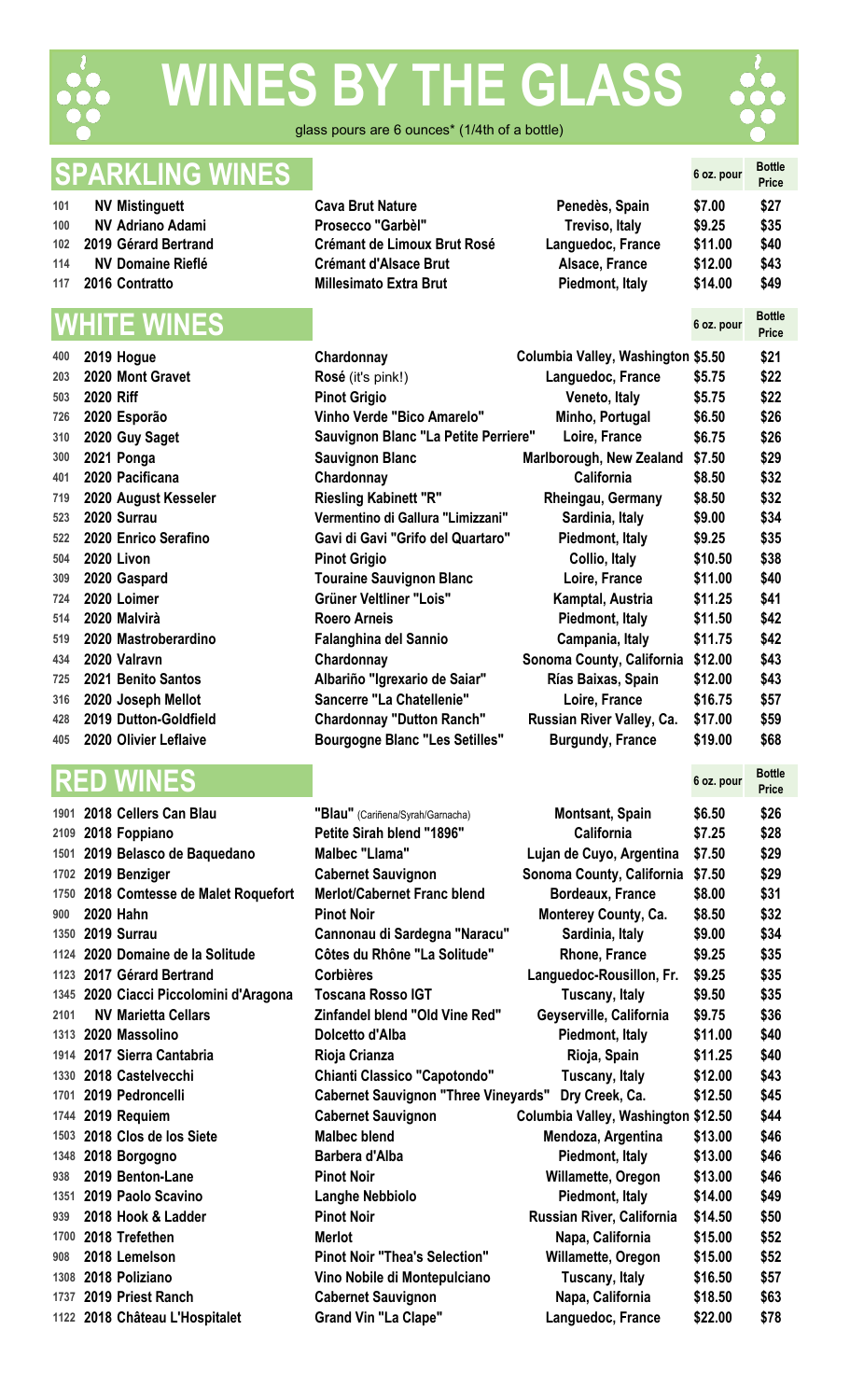

# **ES BY THE GLASS**



glass pours are 6 ounces\* (1/4th of a bottle)

## **SPARKLING WINES 6 oz. pour Bottle**

- 
- 
- 
- 
- 

| 400 | 2019 Hogue                | Chardonnay                                  | Columbia Valley, Washington \$5.50 |         | \$21 |
|-----|---------------------------|---------------------------------------------|------------------------------------|---------|------|
| 203 | 2020 Mont Gravet          | Rosé (it's pink!)                           | Languedoc, France                  | \$5.75  | \$22 |
| 503 | 2020 Riff                 | <b>Pinot Grigio</b>                         | Veneto, Italy                      | \$5.75  | \$22 |
| 726 | 2020 Esporão              | <b>Vinho Verde "Bico Amarelo"</b>           | Minho, Portugal                    | \$6.50  | \$26 |
| 310 | 2020 Guy Saget            | <b>Sauvignon Blanc "La Petite Perriere"</b> | Loire, France                      | \$6.75  | \$26 |
| 300 | 2021 Ponga                | <b>Sauvignon Blanc</b>                      | Marlborough, New Zealand           | \$7.50  | \$29 |
| 401 | 2020 Pacificana           | Chardonnay                                  | California                         | \$8.50  | \$32 |
| 719 | 2020 August Kesseler      | <b>Riesling Kabinett "R"</b>                | Rheingau, Germany                  | \$8.50  | \$32 |
| 523 | 2020 Surrau               | Vermentino di Gallura "Limizzani"           | Sardinia, Italy                    | \$9.00  | \$34 |
| 522 | 2020 Enrico Serafino      | Gavi di Gavi "Grifo del Quartaro"           | Piedmont, Italy                    | \$9.25  | \$35 |
| 504 | 2020 Livon                | <b>Pinot Grigio</b>                         | Collio, Italy                      | \$10.50 | \$38 |
| 309 | 2020 Gaspard              | <b>Touraine Sauvignon Blanc</b>             | Loire, France                      | \$11.00 | \$40 |
| 724 | 2020 Loimer               | Grüner Veltliner "Lois"                     | Kamptal, Austria                   | \$11.25 | \$41 |
| 514 | 2020 Malvirà              | <b>Roero Arneis</b>                         | Piedmont, Italy                    | \$11.50 | \$42 |
| 519 | 2020 Mastroberardino      | <b>Falanghina del Sannio</b>                | Campania, Italy                    | \$11.75 | \$42 |
| 434 | 2020 Valravn              | Chardonnay                                  | Sonoma County, California          | \$12.00 | \$43 |
| 725 | 2021 Benito Santos        | Albariño "Igrexario de Saiar"               | Rías Baixas, Spain                 | \$12.00 | \$43 |
| 316 | 2020 Joseph Mellot        | Sancerre "La Chatellenie"                   | Loire, France                      | \$16.75 | \$57 |
| 428 | 2019 Dutton-Goldfield     | <b>Chardonnay "Dutton Ranch"</b>            | Russian River Valley, Ca.          | \$17.00 | \$59 |
|     | 405 2020 Olivier Leflaive | <b>Bourgogne Blanc "Les Setilles"</b>       | <b>Burgundy, France</b>            | \$19.00 | \$68 |

|      | 1901 - ZU18 Cellers Can Biau           |
|------|----------------------------------------|
|      | 2109 2018 Foppiano                     |
|      | 1501 2019 Belasco de Baquedano         |
|      | 1702 2019 Benziger                     |
|      | 1750 2018 Comtesse de Malet Roquefort  |
|      | 900 2020 Hahn                          |
|      | 1350 2019 Surrau                       |
|      | 1124 2020 Domaine de la Solitude       |
|      | 1123 2017 Gérard Bertrand              |
|      | 1345 2020 Ciacci Piccolomini d'Aragona |
| 2101 | <b>NV Marietta Cellars</b>             |
|      | 1313 2020 Massolino                    |
|      | 1914 2017 Sierra Cantabria             |
|      | 1330 2018 Castelvecchi                 |
|      | 1701 2019 Pedroncelli                  |
|      | 1744 2019 Requiem                      |
|      | 1503 2018 Clos de los Siete            |
|      | 1348 2018 Borgogno                     |
|      | 938 2019 Benton-Lane                   |
|      | 1351 2019 Paolo Scavino                |
|      | 939 2018 Hook & Ladder                 |
|      | 1700 2018 Trefethen                    |
|      | 908 2018 Lemelson                      |
|      | 1308 2018 Poliziano                    |
|      | 1737 2019 Priest Ranch                 |
|      | 1122 2018 Château L'Hospitalet         |

|     | OFARREING WINED          |                                    |                   | <b>0 OZ. POUL</b> | <b>Price</b> |
|-----|--------------------------|------------------------------------|-------------------|-------------------|--------------|
| 101 | <b>NV Mistinguett</b>    | <b>Cava Brut Nature</b>            | Penedès, Spain    | \$7.00            | \$27         |
| 100 | <b>NV Adriano Adami</b>  | Prosecco "Garbèl"                  | Treviso, Italy    | \$9.25            | \$35         |
|     | 102 2019 Gérard Bertrand | <b>Crémant de Limoux Brut Rosé</b> | Languedoc, France | \$11.00           | \$40         |
| 114 | <b>NV Domaine Rieflé</b> | <b>Crémant d'Alsace Brut</b>       | Alsace, France    | \$12.00           | \$43         |
|     | 117 2016 Contratto       | <b>Millesimato Extra Brut</b>      | Piedmont, Italy   | \$14.00           | \$49         |

|     |           | <b>WHITE WINES</b>    |                                      |                                    | 6 oz. pour | <b>Bottle</b><br><b>Price</b> |
|-----|-----------|-----------------------|--------------------------------------|------------------------------------|------------|-------------------------------|
| 400 |           | 2019 Hogue            | Chardonnay                           | Columbia Valley, Washington \$5.50 |            | \$21                          |
| 203 |           | 2020 Mont Gravet      | Rosé (it's pink!)                    | Languedoc, France                  | \$5.75     | \$22                          |
| 503 | 2020 Riff |                       | <b>Pinot Grigio</b>                  | Veneto, Italy                      | \$5.75     | \$22                          |
| 726 |           | 2020 Esporão          | <b>Vinho Verde "Bico Amarelo"</b>    | Minho, Portugal                    | \$6.50     | \$26                          |
| 310 |           | 2020 Guy Saget        | Sauvignon Blanc "La Petite Perriere" | Loire, France                      | \$6.75     | \$26                          |
| 300 |           | 2021 Ponga            | <b>Sauvignon Blanc</b>               | Marlborough, New Zealand           | \$7.50     | \$29                          |
| 401 |           | 2020 Pacificana       | Chardonnay                           | <b>California</b>                  | \$8.50     | \$32                          |
| 719 |           | 2020 August Kesseler  | <b>Riesling Kabinett "R"</b>         | Rheingau, Germany                  | \$8.50     | \$32                          |
| 523 |           | 2020 Surrau           | Vermentino di Gallura "Limizzani"    | Sardinia, Italy                    | \$9.00     | \$34                          |
| 522 |           | 2020 Enrico Serafino  | Gavi di Gavi "Grifo del Quartaro"    | Piedmont, Italy                    | \$9.25     | \$35                          |
| 504 |           | 2020 Livon            | <b>Pinot Grigio</b>                  | Collio, Italy                      | \$10.50    | \$38                          |
| 309 |           | 2020 Gaspard          | <b>Touraine Sauvignon Blanc</b>      | Loire, France                      | \$11.00    | \$40                          |
| 724 |           | 2020 Loimer           | Grüner Veltliner "Lois"              | Kamptal, Austria                   | \$11.25    | \$41                          |
| 514 |           | 2020 Malvirà          | <b>Roero Arneis</b>                  | Piedmont, Italy                    | \$11.50    | \$42                          |
| 519 |           | 2020 Mastroberardino  | <b>Falanghina del Sannio</b>         | Campania, Italy                    | \$11.75    | \$42                          |
| 434 |           | 2020 Valravn          | Chardonnay                           | Sonoma County, California          | \$12.00    | \$43                          |
| 725 |           | 2021 Benito Santos    | Albariño "Igrexario de Saiar"        | Rías Baixas, Spain                 | \$12.00    | \$43                          |
| 316 |           | 2020 Joseph Mellot    | Sancerre "La Chatellenie"            | Loire, France                      | \$16.75    | \$57                          |
| 428 |           | 2019 Dutton-Goldfield | <b>Chardonnay "Dutton Ranch"</b>     | Russian River Valley, Ca.          | \$17.00    | \$59                          |
|     |           |                       |                                      |                                    |            |                               |

|      | <b>RED WINES</b>                       |                                                     |                                     | 6 oz. pour | <b>Bottle</b><br><b>Price</b> |
|------|----------------------------------------|-----------------------------------------------------|-------------------------------------|------------|-------------------------------|
| 1901 | 2018 Cellers Can Blau                  | "Blau" (Cariñena/Syrah/Garnacha)                    | <b>Montsant, Spain</b>              | \$6.50     | \$26                          |
| 2109 | 2018 Foppiano                          | Petite Sirah blend "1896"                           | California                          | \$7.25     | \$28                          |
|      | 1501 2019 Belasco de Baquedano         | Malbec "Llama"                                      | Lujan de Cuyo, Argentina            | \$7.50     | \$29                          |
|      | 1702 2019 Benziger                     | <b>Cabernet Sauvignon</b>                           | Sonoma County, California           | \$7.50     | \$29                          |
|      | 1750 2018 Comtesse de Malet Roquefort  | <b>Merlot/Cabernet Franc blend</b>                  | <b>Bordeaux, France</b>             | \$8.00     | \$31                          |
| 900  | <b>2020 Hahn</b>                       | <b>Pinot Noir</b>                                   | <b>Monterey County, Ca.</b>         | \$8.50     | \$32                          |
|      | 1350 2019 Surrau                       | Cannonau di Sardegna "Naracu"                       | Sardinia, Italy                     | \$9.00     | \$34                          |
|      | 1124 2020 Domaine de la Solitude       | Côtes du Rhône "La Solitude"                        | Rhone, France                       | \$9.25     | \$35                          |
|      | 1123 2017 Gérard Bertrand              | <b>Corbières</b>                                    | Languedoc-Rousillon, Fr.            | \$9.25     | \$35                          |
|      | 1345 2020 Ciacci Piccolomini d'Aragona | <b>Toscana Rosso IGT</b>                            | Tuscany, Italy                      | \$9.50     | \$35                          |
| 2101 | <b>NV Marietta Cellars</b>             | <b>Zinfandel blend "Old Vine Red"</b>               | Geyserville, California             | \$9.75     | \$36                          |
|      | 1313 2020 Massolino                    | Dolcetto d'Alba                                     | Piedmont, Italy                     | \$11.00    | \$40                          |
|      | 1914 2017 Sierra Cantabria             | Rioja Crianza                                       | Rioja, Spain                        | \$11.25    | \$40                          |
|      | 1330 2018 Castelvecchi                 | <b>Chianti Classico "Capotondo"</b>                 | Tuscany, Italy                      | \$12.00    | \$43                          |
|      | 1701 2019 Pedroncelli                  | Cabernet Sauvignon "Three Vineyards" Dry Creek, Ca. |                                     | \$12.50    | \$45                          |
|      | 1744 2019 Requiem                      | <b>Cabernet Sauvignon</b>                           | Columbia Valley, Washington \$12.50 |            | \$44                          |
|      | 1503 2018 Clos de los Siete            | <b>Malbec blend</b>                                 | Mendoza, Argentina                  | \$13.00    | \$46                          |
| 1348 | 2018 Borgogno                          | Barbera d'Alba                                      | Piedmont, Italy                     | \$13.00    | \$46                          |
| 938  | 2019 Benton-Lane                       | <b>Pinot Noir</b>                                   | Willamette, Oregon                  | \$13.00    | \$46                          |
|      | 1351 2019 Paolo Scavino                | Langhe Nebbiolo                                     | Piedmont, Italy                     | \$14.00    | \$49                          |
| 939  | 2018 Hook & Ladder                     | <b>Pinot Noir</b>                                   | Russian River, California           | \$14.50    | \$50                          |
| 1700 | 2018 Trefethen                         | <b>Merlot</b>                                       | Napa, California                    | \$15.00    | \$52                          |
| 908  | 2018 Lemelson                          | <b>Pinot Noir "Thea's Selection"</b>                | Willamette, Oregon                  | \$15.00    | \$52                          |
|      | 1308 2018 Poliziano                    | Vino Nobile di Montepulciano                        | Tuscany, Italy                      | \$16.50    | \$57                          |
| 1737 | 2019 Priest Ranch                      | <b>Cabernet Sauvignon</b>                           | Napa, California                    | \$18.50    | \$63                          |
|      | 1122 2018 Château L'Hospitalet         | <b>Grand Vin "La Clape"</b>                         | Languedoc, France                   | \$22.00    | \$78                          |
|      |                                        |                                                     |                                     |            |                               |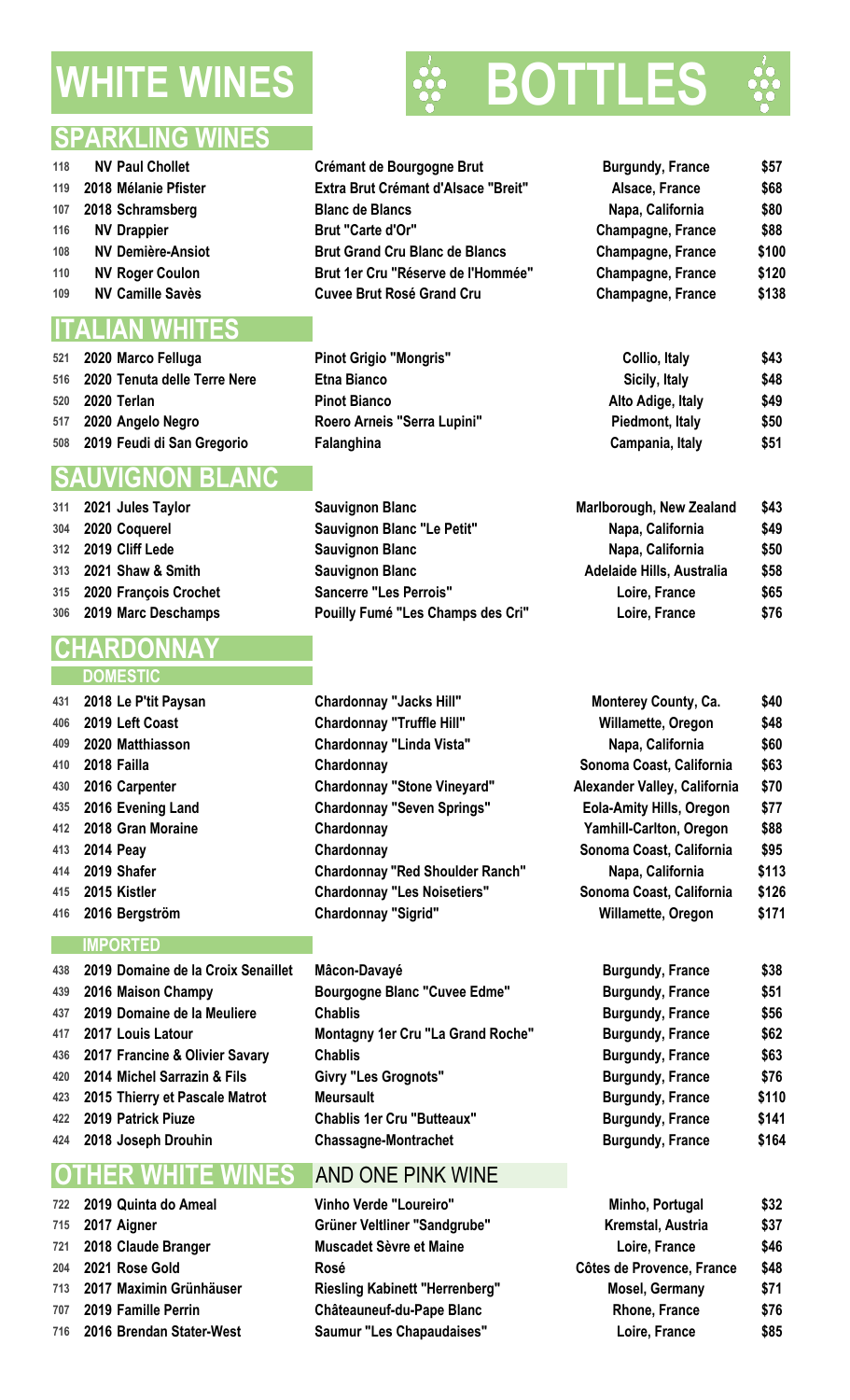## **WHITE WINES WE BOTTL**





- 
- 
- 
- 
- 
- 
- 

### ITAL IAN WHIT

 **2020 Marco Felluga Pinot Grigio "Mongris" Collio, Italy \$43 2020 Tenuta delle Terre Nere Etna Bianco Sicily, Italy \$48 2020 Terlan Pinot Bianco Alto Adige, Italy \$49 2020 Angelo Negro Roero Arneis "Serra Lupini" Piedmont, Italy \$50 2019 Feudi di San Gregorio Falanghina Campania, Italy \$51**

## **SAUVIGNON BLANC**

- 
- 
- 
- 
- 
- 

## **CHARDONNAY**

### **DOMESTIC**

 **2018 Le P'tit Paysan Chardonnay "Jacks Hill" Monterey County, Ca. \$40 2019 Left Coast Chardonnay "Truffle Hill" Willamette, Oregon \$48 2020 Matthiasson Chardonnay "Linda Vista" Napa, California \$60 2018 Gran Moraine Chardonnay Yamhill-Carlton, Oregon \$88 2016 Bergström Chardonnay "Sigrid" Willamette, Oregon \$171**

### **IMPORTED**

- **2019 Domaine de la Croix Senaillet Mâcon-Davayé Burgundy, France \$38 2016 Maison Champy Bourgogne Blanc "Cuvee Edme" Burgundy, France \$51 2019 Domaine de la Meuliere Chablis Burgundy, France \$56 2017 Louis Latour Montagny 1er Cru "La Grand Roche" Burgundy, France \$62 2017 Francine & Olivier Savary Chablis Burgundy, France \$63 2014 Michel Sarrazin & Fils Givry "Les Grognots" Burgundy, France \$76 2015 Thierry et Pascale Matrot Meursault Burgundy, France \$110 2019 Patrick Piuze Chablis 1er Cru "Butteaux" Burgundy, France \$141**
- 

## **OTHER WHITE WINES** AND ONE PINK WINE

| 118 | <b>NV Paul Chollet</b>   | Crémant de Bourgogne Brut                  | <b>Burgundy, France</b> | \$57  |
|-----|--------------------------|--------------------------------------------|-------------------------|-------|
|     | 119 2018 Mélanie Pfister | <b>Extra Brut Crémant d'Alsace "Breit"</b> | Alsace, France          | \$68  |
|     | 107 2018 Schramsberg     | <b>Blanc de Blancs</b>                     | Napa, California        | \$80  |
| 116 | <b>NV Drappier</b>       | Brut "Carte d'Or"                          | Champagne, France       | \$88  |
| 108 | <b>NV Demière-Ansiot</b> | <b>Brut Grand Cru Blanc de Blancs</b>      | Champagne, France       | \$100 |
| 110 | <b>NV Roger Coulon</b>   | Brut 1er Cru "Réserve de l'Hommée"         | Champagne, France       | \$120 |
| 109 | <b>NV Camille Savès</b>  | <b>Cuvee Brut Rosé Grand Cru</b>           | Champagne, France       | \$138 |

 **2021 Jules Taylor Sauvignon Blanc Marlborough, New Zealand \$43 2020 Coquerel Sauvignon Blanc "Le Petit" Napa, California \$49 2019 Cliff Lede Sauvignon Blanc Napa, California \$50 2021 Shaw & Smith Sauvignon Blanc Adelaide Hills, Australia \$58 2020 François Crochet Sancerre "Les Perrois" Loire, France \$65 2019 Marc Deschamps Pouilly Fumé "Les Champs des Cri" Loire, France \$76**

 **2018 Failla Chardonnay Sonoma Coast, California \$63 2016 Carpenter Chardonnay "Stone Vineyard" Alexander Valley, California \$70 2016** Evening Land **Chardonnay "Seven Springs" 2014 Peay Chardonnay Sonoma Coast, California \$95 2019 Shafer Chardonnay "Red Shoulder Ranch" Napa, California \$113 2015 Kistler Chardonnay "Les Noisetiers" Sonoma Coast, California \$126**

**2018 Joseph Drouhin Chassagne-Montrachet Burgundy, France \$164**

| 722 2019 Quinta do Ameal     | <b>Vinho Verde "Loureiro"</b>         | Minho, Portugal           | \$32 |
|------------------------------|---------------------------------------|---------------------------|------|
| 715 2017 Aigner              | Grüner Veltliner "Sandgrube"          | Kremstal, Austria         | \$37 |
| 721 2018 Claude Branger      | Muscadet Sèvre et Maine               | Loire, France             | \$46 |
| 204 2021 Rose Gold           | Rosé                                  | Côtes de Provence, France | \$48 |
| 713 2017 Maximin Grünhäuser  | <b>Riesling Kabinett "Herrenberg"</b> | <b>Mosel, Germany</b>     | \$71 |
| 707 2019 Famille Perrin      | <b>Châteauneuf-du-Pape Blanc</b>      | Rhone, France             | \$76 |
| 716 2016 Brendan Stater-West | <b>Saumur "Les Chapaudaises"</b>      | Loire, France             | \$85 |
|                              |                                       |                           |      |

| <b>Monterey County, Ca.</b>     | \$40  |
|---------------------------------|-------|
| Willamette, Oregon              | \$48  |
| Napa, California                | \$60  |
| Sonoma Coast, California        | \$63  |
| Alexander Valley, California    | \$70  |
| <b>Eola-Amity Hills, Oregon</b> | \$77  |
| Yamhill-Carlton, Oregon         | \$88  |
| Sonoma Coast, California        | \$95  |
| Napa, California                | \$113 |
| Sonoma Coast, California        | \$126 |
| <b>Willamette, Oregon</b>       | \$171 |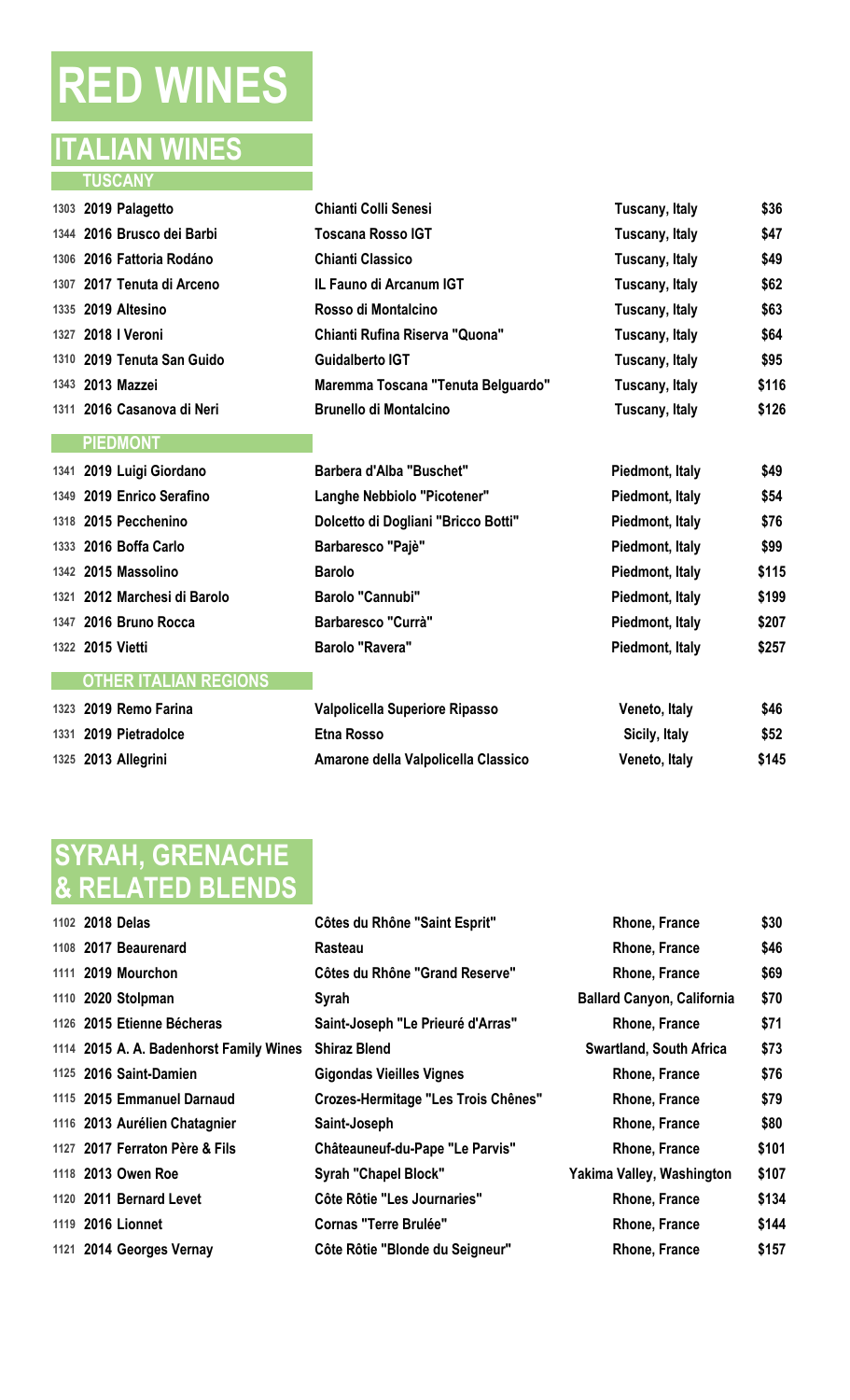# **RED WINES**

## **ITALIAN WINES TUSCANY**

| 1303 2019 Palagetto        | Chianti Colli Senesi               | Tuscany, Italy | \$36  |
|----------------------------|------------------------------------|----------------|-------|
| 1344 2016 Brusco dei Barbi | Toscana Rosso IGT                  | Tuscany, Italy | \$47  |
| 1306 2016 Fattoria Rodáno  | <b>Chianti Classico</b>            | Tuscany, Italy | \$49  |
| 1307 2017 Tenuta di Arceno | IL Fauno di Arcanum IGT            | Tuscany, Italy | \$62  |
| 1335 2019 Altesino         | Rosso di Montalcino                | Tuscany, Italy | \$63  |
| 1327 2018   Veroni         | Chianti Rufina Riserva "Quona"     | Tuscany, Italy | \$64  |
| 1310 2019 Tenuta San Guido | Guidalberto IGT                    | Tuscany, Italy | \$95  |
| 1343 2013 Mazzei           | Maremma Toscana "Tenuta Belguardo" | Tuscany, Italy | \$116 |
| 1311 2016 Casanova di Neri | <b>Brunello di Montalcino</b>      | Tuscany, Italy | \$126 |
| <b>PIEDMONT</b>            |                                    |                |       |

| 1341 2019 Luigi Giordano     | <b>Barbera d'Alba "Buschet"</b>     | Piedmont, Italy | \$49  |
|------------------------------|-------------------------------------|-----------------|-------|
| 1349 2019 Enrico Serafino    | Langhe Nebbiolo "Picotener"         | Piedmont, Italy | \$54  |
| 1318 2015 Pecchenino         | Dolcetto di Dogliani "Bricco Botti" | Piedmont, Italy | \$76  |
| 1333 2016 Boffa Carlo        | Barbaresco "Pajè"                   | Piedmont, Italy | \$99  |
| 1342 2015 Massolino          | <b>Barolo</b>                       | Piedmont, Italy | \$115 |
| 1321 2012 Marchesi di Barolo | <b>Barolo "Cannubi"</b>             | Piedmont, Italy | \$199 |
| 1347 2016 Bruno Rocca        | <b>Barbaresco "Currà"</b>           | Piedmont, Italy | \$207 |
| 1322 2015 Vietti             | <b>Barolo "Ravera"</b>              | Piedmont, Italy | \$257 |
| <b>OTHER ITALIAN REGIONS</b> |                                     |                 |       |
| 1323 2019 Remo Farina        | Valpolicella Superiore Ripasso      | Veneto, Italy   | \$46  |
| 1331 2019 Pietradolce        | <b>Etna Rosso</b>                   | Sicily, Italy   | \$52  |

**2013 Allegrini Amarone della Valpolicella Classico Veneto, Italy \$145**

| <b>SYRAH, GRENACHE</b> |
|------------------------|
|                        |
| & RELATED BLENDS       |

| 1102 2018 Delas                         | Côtes du Rhône "Saint Esprit"              | Rhone, France                     | \$30  |
|-----------------------------------------|--------------------------------------------|-----------------------------------|-------|
| 1108 2017 Beaurenard                    | Rasteau                                    | Rhone, France                     | \$46  |
| 1111 2019 Mourchon                      | <b>Côtes du Rhône "Grand Reserve"</b>      | Rhone, France                     | \$69  |
| 1110 2020 Stolpman                      | Syrah                                      | <b>Ballard Canyon, California</b> | \$70  |
| 1126 2015 Etienne Bécheras              | Saint-Joseph "Le Prieuré d'Arras"          | Rhone, France                     | \$71  |
| 1114 2015 A. A. Badenhorst Family Wines | <b>Shiraz Blend</b>                        | <b>Swartland, South Africa</b>    | \$73  |
| 1125 2016 Saint-Damien                  | Gigondas Vieilles Vignes                   | Rhone, France                     | \$76  |
| 1115 2015 Emmanuel Darnaud              | <b>Crozes-Hermitage "Les Trois Chênes"</b> | Rhone, France                     | \$79  |
| 1116 2013 Aurélien Chatagnier           | Saint-Joseph                               | Rhone, France                     | \$80  |
| 1127 2017 Ferraton Père & Fils          | Châteauneuf-du-Pape "Le Parvis"            | Rhone, France                     | \$101 |
| 1118 2013 Owen Roe                      | <b>Syrah "Chapel Block"</b>                | Yakima Valley, Washington         | \$107 |
| 1120 2011 Bernard Levet                 | Côte Rôtie "Les Journaries"                | Rhone, France                     | \$134 |
| 1119 2016 Lionnet                       | <b>Cornas "Terre Brulée"</b>               | Rhone, France                     | \$144 |
| 1121 2014 Georges Vernay                | Côte Rôtie "Blonde du Seigneur"            | Rhone, France                     | \$157 |
|                                         |                                            |                                   |       |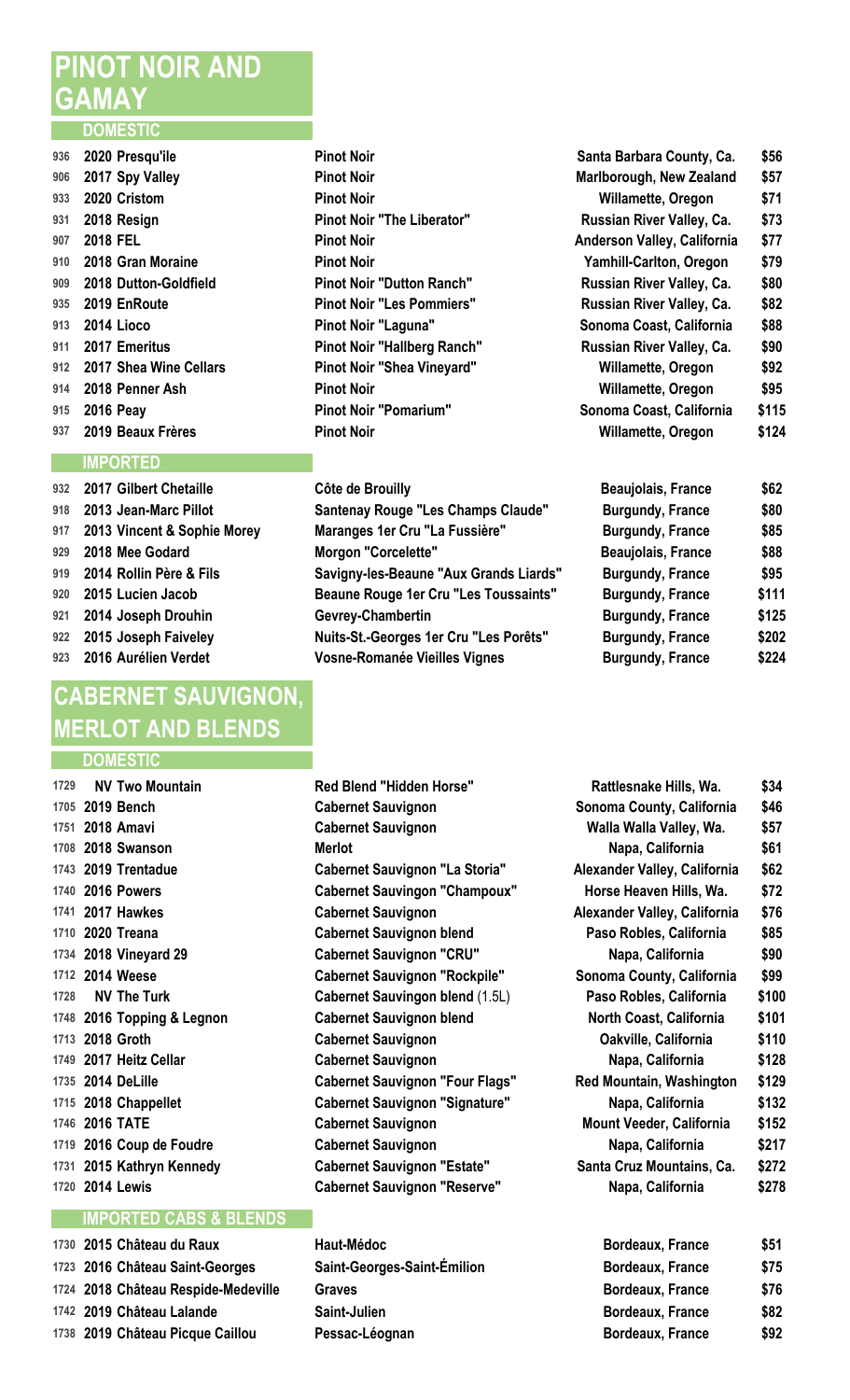## **PINOT NOIR AND GAMAY**

### **DOMESTIC**

| 936 | 2020 Presqu'ile        |
|-----|------------------------|
| 906 | 2017 Spy Valley        |
| 933 | 2020 Cristom           |
| 931 | 2018 Resign            |
| 907 | 2018 FEL               |
| 910 | 2018 Gran Moraine      |
| 909 | 2018 Dutton-Goldfield  |
| 935 | 2019 EnRoute           |
| 913 | 2014 Lioco             |
| 911 | 2017 Emeritus          |
| 912 | 2017 Shea Wine Cellars |
| 914 | 2018 Penner Ash        |
| 915 | <b>2016 Peay</b>       |
| 937 | 2019 Beaux Frères      |

### **IMPORTED**

 **2017 Gilbert Chetaille Côte de Brouilly 2013 Vincent & Sophie Morey Maranges 1er Cru "La Fussière" Burgundy, France \$85 2018 Mee Godard Morgon "Corcelette" Beaujolais, France \$88 921 2014 Joseph Drouhin Gevrey-Chambertin 2016 Aurélien Verdet Vosne-Romanée Vieilles Vignes Burgundy, France \$224**

## **CABERNET SAUVIGNON, MERLOT AND BLENDS**

### **DOMESTIC**

**1729 NV Two Mountain Red Blend "Hidden Horse" 1751 2018 Amavi Cabernet Sauvignon 2018 Swanson Merlot Napa, California \$61 2020** Treana **Cabernet Sauvignon blend 1734 2018 Vineyard 29 <b>Cabernet Sauvignon "CRU" 2016 Topping & Legnon Cabernet Sauvignon blend 2018 Groth Cabernet Sauvignon 2017 Heitz Cellar Cabernet Sauvignon 2016 TATE Cabernet Sauvignon 2016 Coup de Foudre Cabernet Sauvignon 1731 2015 Kathryn Kennedy Cabernet Sauvignon "Estate"** 

### **IMPORTED CABS & BLENDS**

| 1730 2015 Château du Raux           | <b>Haut-Médoc</b>           | <b>Bordeaux, France</b> | \$51 |
|-------------------------------------|-----------------------------|-------------------------|------|
| 1723 2016 Château Saint-Georges     | Saint-Georges-Saint-Émilion | <b>Bordeaux, France</b> | \$75 |
| 1724 2018 Château Respide-Medeville | Graves                      | <b>Bordeaux, France</b> | \$76 |
| 1742 2019 Château Lalande           | <b>Saint-Julien</b>         | <b>Bordeaux, France</b> | \$82 |
| 1738 2019 Château Picque Caillou    | Pessac-Léognan              | <b>Bordeaux, France</b> | \$92 |

- Pinot Noir "The Liberator" **Pinot Noir "Dutton Ranch" Pinot Noir "Les Pommiers" Pinot Noir "Laguna" Pinot Noir "Hallberg Ranch" Pinot Noir "Shea Vineyard" Pinot Noir "Pomarium"**
- **2013 Jean-Marc Pillot Santenay Rouge "Les Champs Claude" Burgundy, France \$80 2014 Rollin Père & Fils Savigny-les-Beaune "Aux Grands Liards" Burgundy, France \$95 2015** Lucien Jacob **Beaune Rouge 1er Cru "Les Toussaints" 2015 Joseph Faiveley Nuits-St.-Georges 1er Cru "Les Porêts" Burgundy, France \$202**
- **2019 Bench Cabernet Sauvignon Sonoma County Cabernet Sauvignon 2019 Trentadue Cabernet Sauvignon "La Storia" Alexander Valley, California California Alexander Valley, California Alexander Valley, California Alexander Valley, California Alexander Valley, Californi 2016 Powers Cabernet Sauvingon "Champoux" 2017 Hawkes Cabernet Sauvignon A 2014** Weese **Cabernet Sauvignon "Rockpile" NV The Turk Cabernet Sauvingon blend** (1.5L) **2014 DeLille Red Monument Sauvignon "Four Flags" Red Monument Sauvignon "Four Flags" 2018 Chappellet Cabernet Sauvignon "Signature" 1720 2014 Lewis Cabernet Sauvignon "Reserve"** 
	- **2016 Château Saint-Georges Saint-Georges-Saint-Émilion Bordeaux, France \$75 Pessac-Léognan**

|     | 936 2020 Presqu'ile        | <b>Pinot Noir</b>                 | Santa Barbara County, Ca.      | \$56  |
|-----|----------------------------|-----------------------------------|--------------------------------|-------|
|     | 906 2017 Spy Valley        | <b>Pinot Noir</b>                 | Marlborough, New Zealand       | \$57  |
| 933 | 2020 Cristom               | <b>Pinot Noir</b>                 | Willamette, Oregon             | \$71  |
|     | 931 2018 Resign            | <b>Pinot Noir "The Liberator"</b> | Russian River Valley, Ca.      | \$73  |
|     | 907 2018 FEL               | <b>Pinot Noir</b>                 | Anderson Valley, California    | \$77  |
|     | 910 2018 Gran Moraine      | <b>Pinot Noir</b>                 | <b>Yamhill-Carlton, Oregon</b> | \$79  |
|     | 909 2018 Dutton-Goldfield  | <b>Pinot Noir "Dutton Ranch"</b>  | Russian River Valley, Ca.      | \$80  |
|     | 935 2019 EnRoute           | <b>Pinot Noir "Les Pommiers"</b>  | Russian River Valley, Ca.      | \$82  |
|     | 913 2014 Lioco             | Pinot Noir "Laguna"               | Sonoma Coast, California       | \$88  |
|     | 911 2017 Emeritus          | Pinot Noir "Hallberg Ranch"       | Russian River Valley, Ca.      | \$90  |
|     | 912 2017 Shea Wine Cellars | Pinot Noir "Shea Vineyard"        | Willamette, Oregon             | \$92  |
|     | 914 2018 Penner Ash        | <b>Pinot Noir</b>                 | Willamette, Oregon             | \$95  |
|     | 915 2016 Peay              | <b>Pinot Noir "Pomarium"</b>      | Sonoma Coast, California       | \$115 |
|     | 937 2019 Beaux Frères      | <b>Pinot Noir</b>                 | Willamette, Oregon             | \$124 |
|     |                            |                                   |                                |       |

| <b>Beaujolais, France</b> | \$62  |
|---------------------------|-------|
| <b>Burgundy, France</b>   | \$80  |
| <b>Burgundy, France</b>   | \$85  |
| Beaujolais, France        | \$88  |
| <b>Burgundy, France</b>   | \$95  |
| <b>Burgundy, France</b>   | \$111 |
| <b>Burgundy, France</b>   | \$125 |
| <b>Burgundy, France</b>   | \$202 |
| <b>Burgundy, France</b>   | \$224 |

| Rattlesnake Hills, Wa.             | \$34  |
|------------------------------------|-------|
| Sonoma County, California          | \$46  |
| Walla Walla Valley, Wa.            | \$57  |
| Napa, California                   | \$61  |
| <b>Nexander Valley, California</b> | \$62  |
| Horse Heaven Hills, Wa.            | \$72  |
| <b>Nexander Valley, California</b> | \$76  |
| Paso Robles, California            | \$85  |
| Napa, California                   | \$90  |
| Sonoma County, California          | \$99  |
| Paso Robles, California            | \$100 |
| North Coast, California            | \$101 |
| Oakville, California               | \$110 |
| Napa, California                   | \$128 |
| Red Mountain, Washington           | \$129 |
| Napa, California                   | \$132 |
| Mount Veeder, California           | \$152 |
| Napa, California                   | \$217 |
| Santa Cruz Mountains, Ca.          | \$272 |
| Napa, California                   | \$278 |
|                                    |       |

| <b>Bordeaux, France</b> | \$51 |
|-------------------------|------|
| Bordeaux, France        | \$75 |
| Bordeaux, France        | \$76 |
| <b>Bordeaux, France</b> | \$82 |
| Bordeaux, France        | \$92 |